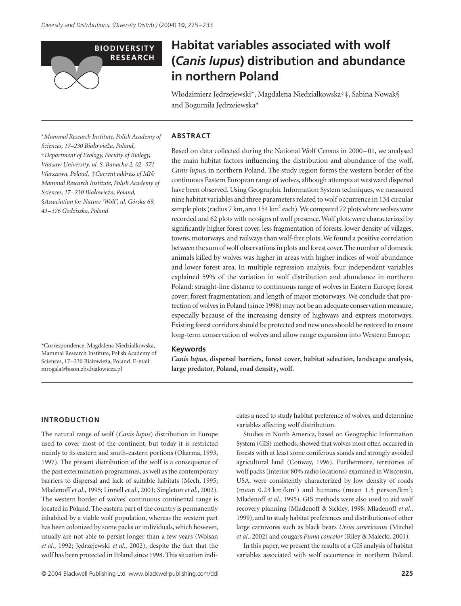

# **Habitat variables associated with wolf (***Canis lupus***) distribution and abundance in northern Poland**

W*l*odzimierz J*e*drzejewski\*, Magdalena Niedzia*l*kowska†‡, Sabina Nowak§ and Bogumi*l*a J*e*drzejewska\*

\**Mammal Research Institute, Polish Academy of Sciences, 17–230 Bia¬owieΩa, Poland,*  †*Department of Ecology, Faculty of Biology, Warsaw University, ul. S. Banacha 2, 02–571 Warszawa, Poland,* ‡*Current address of MN: Mammal Research Institute, Polish Academy of Sciences, 17–230 Bia¬owieΩa, Poland,*  §*Association for Nature 'Wolf', ul. Górska 69, 43–376 Godziszka, Poland* 

\*Correspondence: Magdalena Niedzia*l*kowska, Mammal Research Institute, Polish Academy of Sciences, 17–230 Bia*l*owie*z*a, Poland. E-mail: mrogala@bison.zbs.bialowieza.pl

### **ABSTRACT**

Based on data collected during the National Wolf Census in 2000–01, we analysed the main habitat factors influencing the distribution and abundance of the wolf, *Canis lupus*, in northern Poland. The study region forms the western border of the continuous Eastern European range of wolves, although attempts at westward dispersal have been observed. Using Geographic Information System techniques, we measured nine habitat variables and three parameters related to wolf occurrence in 134 circular sample plots (radius 7 km, area 154 km<sup>2</sup> each). We compared 72 plots where wolves were recorded and 62 plots with no signs of wolf presence. Wolf plots were characterized by significantly higher forest cover, less fragmentation of forests, lower density of villages, towns, motorways, and railways than wolf-free plots. We found a positive correlation between the sum of wolf observations in plots and forest cover. The number of domestic animals killed by wolves was higher in areas with higher indices of wolf abundance and lower forest area. In multiple regression analysis, four independent variables explained 59% of the variation in wolf distribution and abundance in northern Poland: straight-line distance to continuous range of wolves in Eastern Europe; forest cover; forest fragmentation; and length of major motorways. We conclude that protection of wolves in Poland (since 1998) may not be an adequate conservation measure, especially because of the increasing density of highways and express motorways. Existing forest corridors should be protected and new ones should be restored to ensure long-term conservation of wolves and allow range expansion into Western Europe.

#### **Keywords**

*Canis lupus***, dispersal barriers, forest cover, habitat selection, landscape analysis, large predator, Poland, road density, wolf.**

#### **INTRODUCTION**

The natural range of wolf (*Canis lupus*) distribution in Europe used to cover most of the continent, but today it is restricted mainly to its eastern and south-eastern portions (Okarma, 1993, 1997). The present distribution of the wolf is a consequence of the past extermination programmes, as well as the contemporary barriers to dispersal and lack of suitable habitats (Mech, 1995; Mladenoff *et al*., 1995; Linnell *et al*., 2001; Singleton *et al*., 2002). The western border of wolves' continuous continental range is located in Poland. The eastern part of the country is permanently inhabited by a viable wolf population, whereas the western part has been colonized by some packs or individuals, which however, usually are not able to persist longer than a few years (Wolsan *et al*., 1992; J*e*drzejewski *et al*., 2002), despite the fact that the wolf has been protected in Poland since 1998. This situation indicates a need to study habitat preference of wolves, and determine variables affecting wolf distribution.

Studies in North America, based on Geographic Information System (GIS) methods, showed that wolves most often occurred in forests with at least some coniferous stands and strongly avoided agricultural land (Conway, 1996). Furthermore, territories of wolf packs (interior 80% radio locations) examined in Wisconsin, USA, were consistently characterized by low density of roads (mean 0.23 km/km<sup>2</sup>) and humans (mean 1.5 person/km<sup>2</sup>; Mladenoff *et al*., 1995). GIS methods were also used to aid wolf recovery planning (Mladenoff & Sickley, 1998; Mladenoff *et al*., 1999), and to study habitat preferences and distributions of other large carnivores such as black bears *Ursus americanus* (Mitchel *et al*., 2002) and cougars *Puma concolor* (Riley & Malecki, 2001).

In this paper, we present the results of a GIS analysis of habitat variables associated with wolf occurrence in northern Poland.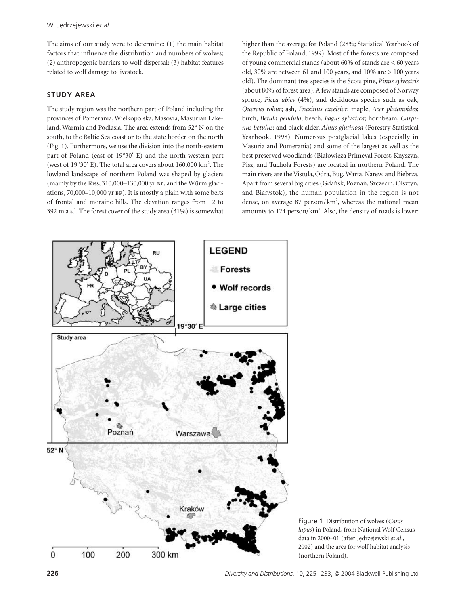The aims of our study were to determine: (1) the main habitat factors that influence the distribution and numbers of wolves; (2) anthropogenic barriers to wolf dispersal; (3) habitat features related to wolf damage to livestock.

## **STUDY AREA**

The study region was the northern part of Poland including the provinces of Pomerania, Wielkopolska, Masovia, Masurian Lakeland, Warmia and Podlasia. The area extends from 52° N on the south, to the Baltic Sea coast or to the state border on the north (Fig. 1). Furthermore, we use the division into the north-eastern part of Poland (east of 19°30′ E) and the north-western part (west of 19°30' E). The total area covers about 160,000 km<sup>2</sup>. The lowland landscape of northern Poland was shaped by glaciers (mainly by the Riss,  $310,000-130,000$  yr  $BP$ , and the Würm glaciations,  $70,000-10,000$  yr  $BP$ ). It is mostly a plain with some belts of frontal and moraine hills. The elevation ranges from −2 to 392 m a.s.l. The forest cover of the study area (31%) is somewhat higher than the average for Poland (28%; Statistical Yearbook of the Republic of Poland, 1999). Most of the forests are composed of young commercial stands (about 60% of stands are < 60 years old, 30% are between 61 and 100 years, and 10% are > 100 years old). The dominant tree species is the Scots pine, *Pinus sylvestris* (about 80% of forest area). A few stands are composed of Norway spruce, *Picea abies* (4%), and deciduous species such as oak, *Quercus robur*; ash, *Fraxinus excelsior*; maple, *Acer platanoides*; birch, *Betula pendula*; beech, *Fagus sylvatica*; hornbeam, *Carpinus betulus*; and black alder, *Alnus glutinosa* (Forestry Statistical Yearbook, 1998). Numerous postglacial lakes (especially in Masuria and Pomerania) and some of the largest as well as the best preserved woodlands (Bia*l*owie*z*a Primeval Forest, Knyszyn, Pisz, and Tuchola Forests) are located in northern Poland. The main rivers are the Vistula, Odra, Bug, Warta, Narew, and Biebrza. Apart from several big cities (Gda*n*sk, Pozna*n*, Szczecin, Olsztyn, and Bia*l*ystok), the human population in the region is not dense, on average 87 person/km<sup>2</sup>, whereas the national mean amounts to 124 person/km<sup>2</sup>. Also, the density of roads is lower:



Figure 1 Distribution of wolves (*Canis lupus*) in Poland, from National Wolf Census data in 2000–01 (after J*e*drzejewski *et al*., 2002) and the area for wolf habitat analysis (northern Poland).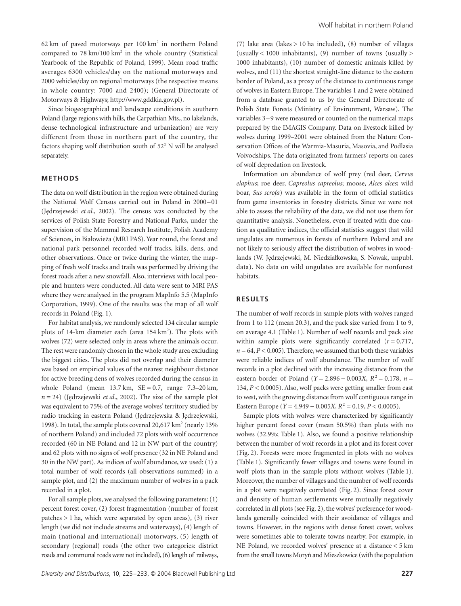62 km of paved motorways per  $100 \text{ km}^2$  in northern Poland compared to  $78 \text{ km}/100 \text{ km}^2$  in the whole country (Statistical Yearbook of the Republic of Poland, 1999). Mean road traffic averages 6300 vehicles/day on the national motorways and 2000 vehicles/day on regional motorways (the respective means in whole country: 7000 and 2400); (General Directorate of Motorways & Highways; [http://www.gddkia.gov.pl\).](http://www.gddkia.gov.pl)

Since biogeographical and landscape conditions in southern Poland (large regions with hills, the Carpathian Mts., no lakelands, dense technological infrastructure and urbanization) are very different from those in northern part of the country, the factors shaping wolf distribution south of 52° N will be analysed separately.

#### **METHODS**

The data on wolf distribution in the region were obtained during the National Wolf Census carried out in Poland in 2000–01 (J*e*drzejewski *et al*., 2002). The census was conducted by the services of Polish State Forestry and National Parks, under the supervision of the Mammal Research Institute, Polish Academy of Sciences, in Bia*l*owie*z*a (MRI PAS). Year round, the forest and national park personnel recorded wolf tracks, kills, dens, and other observations. Once or twice during the winter, the mapping of fresh wolf tracks and trails was performed by driving the forest roads after a new snowfall. Also, interviews with local people and hunters were conducted. All data were sent to MRI PAS where they were analysed in the program MapInfo 5.5 (MapInfo Corporation, 1999). One of the results was the map of all wolf records in Poland (Fig. 1).

For habitat analysis, we randomly selected 134 circular sample plots of 14-km diameter each (area 154 km<sup>2</sup>). The plots with wolves (72) were selected only in areas where the animals occur. The rest were randomly chosen in the whole study area excluding the biggest cities. The plots did not overlap and their diameter was based on empirical values of the nearest neighbour distance for active breeding dens of wolves recorded during the census in whole Poland (mean  $13.7 \text{ km}$ ,  $SE = 0.7$ , range  $7.3-20 \text{ km}$ , *n* = 24) (J*e*drzejewski *et al*., 2002). The size of the sample plot was equivalent to 75% of the average wolves' territory studied by radio tracking in eastern Poland (J*e*drzejewska & J*e*drzejewski, 1998). In total, the sample plots covered 20,617 km<sup>2</sup> (nearly 13% of northern Poland) and included 72 plots with wolf occurrence recorded (60 in NE Poland and 12 in NW part of the country) and 62 plots with no signs of wolf presence (32 in NE Poland and 30 in the NW part). As indices of wolf abundance, we used: (1) a total number of wolf records (all observations summed) in a sample plot, and (2) the maximum number of wolves in a pack recorded in a plot.

For all sample plots, we analysed the following parameters: (1) percent forest cover, (2) forest fragmentation (number of forest patches > 1 ha, which were separated by open areas), (3) river length (we did not include streams and waterways), (4) length of main (national and international) motorways, (5) length of secondary (regional) roads (the other two categories: district roads and communal roads were not included), (6) length of railways,

(7) lake area (lakes  $> 10$  ha included), (8) number of villages (usually  $< 1000$  inhabitants), (9) number of towns (usually  $>$ 1000 inhabitants), (10) number of domestic animals killed by wolves, and (11) the shortest straight-line distance to the eastern border of Poland, as a proxy of the distance to continuous range of wolves in Eastern Europe. The variables 1 and 2 were obtained from a database granted to us by the General Directorate of Polish State Forests (Ministry of Environment, Warsaw). The variables 3–9 were measured or counted on the numerical maps prepared by the IMAGIS Company. Data on livestock killed by wolves during 1999–2001 were obtained from the Nature Conservation Offices of the Warmia-Masuria, Masovia, and Podlasia Voivodships. The data originated from farmers' reports on cases of wolf depredation on livestock.

Information on abundance of wolf prey (red deer, *Cervus elaphus*; roe deer, *Capreolus capreolus*; moose, *Alces alces*; wild boar, *Sus scrofa*) was available in the form of official statistics from game inventories in forestry districts. Since we were not able to assess the reliability of the data, we did not use them for quantitative analysis. Nonetheless, even if treated with due caution as qualitative indices, the official statistics suggest that wild ungulates are numerous in forests of northern Poland and are not likely to seriously affect the distribution of wolves in woodlands (W. J*e*drzejewski, M. Niedzia*l*kowska, S. Nowak, unpubl. data). No data on wild ungulates are available for nonforest habitats.

#### **RESULTS**

The number of wolf records in sample plots with wolves ranged from 1 to 112 (mean 20.3), and the pack size varied from 1 to 9, on average 4.1 (Table 1). Number of wolf records and pack size within sample plots were significantly correlated  $(r = 0.717,$  $n = 64$ ,  $P < 0.005$ ). Therefore, we assumed that both these variables were reliable indices of wolf abundance. The number of wolf records in a plot declined with the increasing distance from the eastern border of Poland (*Y* = 2.896 – 0.003*X*,  $R^2$  = 0.178,  $n =$ 134, *P* < 0.0005). Also, wolf packs were getting smaller from east to west, with the growing distance from wolf contiguous range in Eastern Europe (*Y* = 4.949 – 0.005*X*,  $R^2$  = 0.19, *P* < 0.0005).

Sample plots with wolves were characterized by significantly higher percent forest cover (mean 50.5%) than plots with no wolves (32.9%; Table 1). Also, we found a positive relationship between the number of wolf records in a plot and its forest cover (Fig. 2). Forests were more fragmented in plots with no wolves (Table 1). Significantly fewer villages and towns were found in wolf plots than in the sample plots without wolves (Table 1). Moreover, the number of villages and the number of wolf records in a plot were negatively correlated (Fig. 2). Since forest cover and density of human settlements were mutually negatively correlated in all plots (see Fig. 2), the wolves' preference for woodlands generally coincided with their avoidance of villages and towns. However, in the regions with dense forest cover, wolves were sometimes able to tolerate towns nearby. For example, in NE Poland, we recorded wolves' presence at a distance < 5 km from the small towns Mory*n* and Mieszkowice (with the population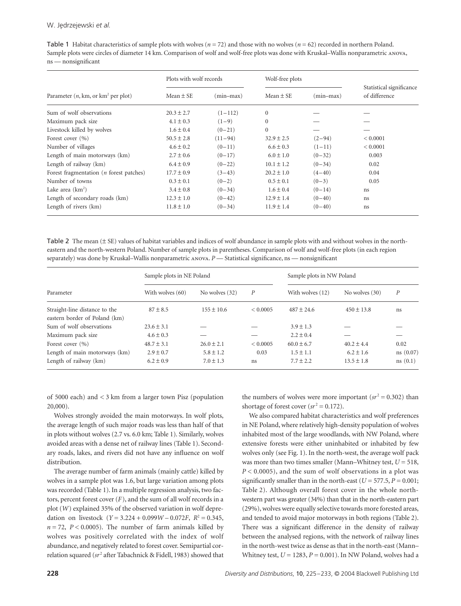| Table 1 Habitat characteristics of sample plots with wolves ( $n = 72$ ) and those with no wolves ( $n = 62$ ) recorded in northern Poland. |
|---------------------------------------------------------------------------------------------------------------------------------------------|
| Sample plots were circles of diameter 14 km. Comparison of wolf and wolf-free plots was done with Kruskal–Wallis nonparametric ANOVA,       |
| $ns$ — nonsignificant                                                                                                                       |

|                                            | Plots with wolf records |             | Wolf-free plots |            |                                           |
|--------------------------------------------|-------------------------|-------------|-----------------|------------|-------------------------------------------|
| Parameter $(n, km, or km2 per plot)$       | Mean $\pm$ SE           | $(min-max)$ | Mean $\pm$ SE   | (min-max)  | Statistical significance<br>of difference |
| Sum of wolf observations                   | $20.3 \pm 2.7$          | $(1-112)$   | $\overline{0}$  |            |                                           |
| Maximum pack size                          | $4.1 \pm 0.3$           | $(1-9)$     | $\mathbf{0}$    |            |                                           |
| Livestock killed by wolves                 | $1.6 \pm 0.4$           | $(0-21)$    | $\mathbf{0}$    |            |                                           |
| Forest cover $(\% )$                       | $50.5 \pm 2.8$          | $(11-94)$   | $32.9 \pm 2.5$  | $(2-94)$   | < 0.0001                                  |
| Number of villages                         | $4.6 \pm 0.2$           | $(0-11)$    | $6.6 \pm 0.3$   | $(1-11)$   | ${}< 0.0001$                              |
| Length of main motorways (km)              | $2.7 \pm 0.6$           | $(0-17)$    | $6.0 \pm 1.0$   | $(0-32)$   | 0.003                                     |
| Length of railway (km)                     | $6.4 \pm 0.9$           | $(0-22)$    | $10.1 \pm 1.2$  | $(0-34)$   | 0.02                                      |
| Forest fragmentation ( $n$ forest patches) | $17.7 \pm 0.9$          | $(3-43)$    | $20.2 \pm 1.0$  | $(4 - 40)$ | 0.04                                      |
| Number of towns                            | $0.3 \pm 0.1$           | $(0-2)$     | $0.5 \pm 0.1$   | $(0-3)$    | 0.05                                      |
| Lake area $(km^2)$                         | $3.4 \pm 0.8$           | $(0-34)$    | $1.6 \pm 0.4$   | $(0-14)$   | ns                                        |
| Length of secondary roads (km)             | $12.3 \pm 1.0$          | $(0-42)$    | $12.9 \pm 1.4$  | $(0-40)$   | ns                                        |
| Length of rivers (km)                      | $11.8 \pm 1.0$          | $(0-34)$    | $11.9 \pm 1.4$  | $(0-40)$   | ns                                        |

Table 2 The mean (± SE) values of habitat variables and indices of wolf abundance in sample plots with and without wolves in the northeastern and the north-western Poland. Number of sample plots in parentheses. Comparison of wolf and wolf-free plots (in each region separately) was done by Kruskal–Wallis nonparametric ANOVA. P — Statistical significance, ns — nonsignificant

|                                                                | Sample plots in NE Poland |                |          | Sample plots in NW Poland |                  |                  |
|----------------------------------------------------------------|---------------------------|----------------|----------|---------------------------|------------------|------------------|
| Parameter                                                      | With wolves (60)          | No wolves (32) | P        | With wolves (12)          | No wolves $(30)$ | $\boldsymbol{P}$ |
| Straight-line distance to the<br>eastern border of Poland (km) | $87 \pm 8.5$              | $155 \pm 10.6$ | < 0.0005 | $487 \pm 24.6$            | $450 \pm 13.8$   | ns               |
| Sum of wolf observations                                       | $23.6 \pm 3.1$            |                |          | $3.9 \pm 1.3$             |                  |                  |
| Maximum pack size                                              | $4.6 \pm 0.3$             |                |          | $2.2 \pm 0.4$             |                  |                  |
| Forest cover $(\% )$                                           | $48.7 \pm 3.1$            | $26.0 \pm 2.1$ | < 0.0005 | $60.0 \pm 6.7$            | $40.2 \pm 4.4$   | 0.02             |
| Length of main motorways (km)                                  | $2.9 \pm 0.7$             | $5.8 \pm 1.2$  | 0.03     | $1.5 \pm 1.1$             | $6.2 \pm 1.6$    | ns(0.07)         |
| Length of railway (km)                                         | $6.2 \pm 0.9$             | $7.0 \pm 1.3$  | ns       | $7.7 \pm 2.2$             | $13.5 \pm 1.8$   | ns(0.1)          |

of 5000 each) and < 3 km from a larger town Pisz (population 20,000).

Wolves strongly avoided the main motorways. In wolf plots, the average length of such major roads was less than half of that in plots without wolves (2.7 vs. 6.0 km; Table 1). Similarly, wolves avoided areas with a dense net of railway lines (Table 1). Secondary roads, lakes, and rivers did not have any influence on wolf distribution.

The average number of farm animals (mainly cattle) killed by wolves in a sample plot was 1.6, but large variation among plots was recorded (Table 1). In a multiple regression analysis, two factors, percent forest cover (*F*), and the sum of all wolf records in a plot (*W*) explained 35% of the observed variation in wolf depredation on livestock (*Y* = 3.224 + 0.099*W* – 0.072*F*,  $R^2 = 0.345$ ,  $n = 72$ ,  $P < 0.0005$ ). The number of farm animals killed by wolves was positively correlated with the index of wolf abundance, and negatively related to forest cover. Semipartial correlation squared ( $sr^2$  after Tabachnick & Fidell, 1983) showed that the numbers of wolves were more important  $(sr^2 = 0.302)$  than shortage of forest cover  $(sr^2 = 0.172)$ .

We also compared habitat characteristics and wolf preferences in NE Poland, where relatively high-density population of wolves inhabited most of the large woodlands, with NW Poland, where extensive forests were either uninhabited or inhabited by few wolves only (see Fig. 1). In the north-west, the average wolf pack was more than two times smaller (Mann–Whitney test,  $U = 518$ , *P* < 0.0005), and the sum of wolf observations in a plot was significantly smaller than in the north-east ( $U = 577.5$ ,  $P = 0.001$ ; Table 2). Although overall forest cover in the whole northwestern part was greater (34%) than that in the north-eastern part (29%), wolves were equally selective towards more forested areas, and tended to avoid major motorways in both regions (Table 2). There was a significant difference in the density of railway between the analysed regions, with the network of railway lines in the north-west twice as dense as that in the north-east (Mann– Whitney test,  $U = 1283$ ,  $P = 0.001$ ). In NW Poland, wolves had a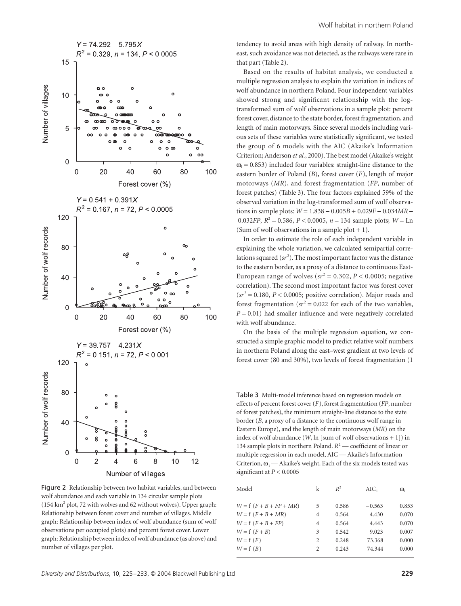

Figure 2 Relationship between two habitat variables, and between wolf abundance and each variable in 134 circular sample plots (154 km2 plot, 72 with wolves and 62 without wolves). Upper graph: Relationship between forest cover and number of villages. Middle graph: Relationship between index of wolf abundance (sum of wolf observations per occupied plots) and percent forest cover. Lower graph: Relationship between index of wolf abundance (as above) and number of villages per plot.

tendency to avoid areas with high density of railway. In northeast, such avoidance was not detected, as the railways were rare in that part (Table 2).

Based on the results of habitat analysis, we conducted a multiple regression analysis to explain the variation in indices of wolf abundance in northern Poland. Four independent variables showed strong and significant relationship with the logtransformed sum of wolf observations in a sample plot: percent forest cover, distance to the state border, forest fragmentation, and length of main motorways. Since several models including various sets of these variables were statistically significant, we tested the group of 6 models with the AIC (Akaike's Information Criterion; Anderson *et al.*, 2000). The best model (Akaike's weight  $\omega_i$  = 0.853) included four variables: straight-line distance to the eastern border of Poland (*B*), forest cover (*F*), length of major motorways (*MR*), and forest fragmentation (*FP*, number of forest patches) (Table 3). The four factors explained 59% of the observed variation in the log-transformed sum of wolf observations in sample plots: *W* = 1.838 − 0.005*B* + 0.029*F* − 0.034*MR* − 0.032*FP*,  $R^2 = 0.586$ ,  $P < 0.0005$ ,  $n = 134$  sample plots;  $W = \text{Ln }$ (Sum of wolf observations in a sample plot  $+ 1$ ).

In order to estimate the role of each independent variable in explaining the whole variation, we calculated semipartial correlations squared (sr<sup>2</sup>). The most important factor was the distance to the eastern border, as a proxy of a distance to continuous East-European range of wolves ( $sr^2 = 0.302$ ,  $P < 0.0005$ ; negative correlation). The second most important factor was forest cover  $(sr^2 = 0.180, P < 0.0005$ ; positive correlation). Major roads and forest fragmentation  $(sr^2 = 0.022$  for each of the two variables,  $P = 0.01$ ) had smaller influence and were negatively correlated with wolf abundance.

On the basis of the multiple regression equation, we constructed a simple graphic model to predict relative wolf numbers in northern Poland along the east–west gradient at two levels of forest cover (80 and 30%), two levels of forest fragmentation (1

Table 3 Multi-model inference based on regression models on effects of percent forest cover (*F*), forest fragmentation (*FP*, number of forest patches), the minimum straight-line distance to the state border (*B*, a proxy of a distance to the continuous wolf range in Eastern Europe), and the length of main motorways (*MR*) on the index of wolf abundance  $(W, \ln \vert \text{sum of wolf observations} + 1)$  in 134 sample plots in northern Poland.  $R^2$  — coefficient of linear or multiple regression in each model, AIC — Akaike's Information Criterion,  $\omega_i$  — Akaike's weight. Each of the six models tested was significant at *P <* 0.0005

| Model                     | k | $R^2$ | AIC      | $\omega_{i}$ |
|---------------------------|---|-------|----------|--------------|
| $W = f (F + B + FP + MR)$ | 5 | 0.586 | $-0.563$ | 0.853        |
| $W = f (F + B + MR)$      | 4 | 0.564 | 4.430    | 0.070        |
| $W = f(F + B + FP)$       | 4 | 0.564 | 4.443    | 0.070        |
| $W = f(F + B)$            | 3 | 0.542 | 9.023    | 0.007        |
| $W = f(F)$                | 2 | 0.248 | 73.368   | 0.000        |
| $W = f(B)$                | 2 | 0.243 | 74.344   | 0.000        |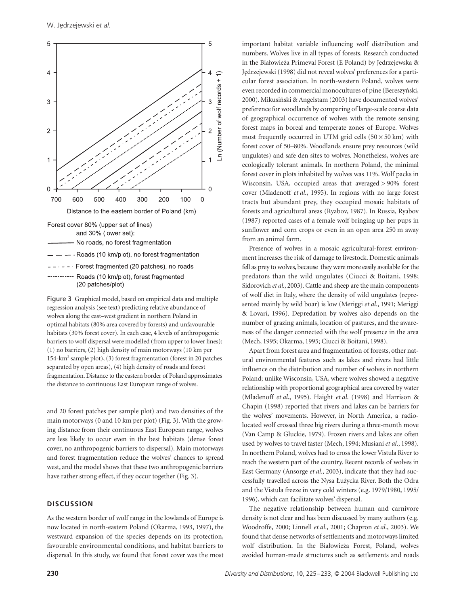

Figure 3 Graphical model, based on empirical data and multiple regression analysis (see text) predicting relative abundance of wolves along the east–west gradient in northern Poland in optimal habitats (80% area covered by forests) and unfavourable habitats (30% forest cover). In each case, 4 levels of anthropogenic barriers to wolf dispersal were modelled (from upper to lower lines): (1) no barriers, (2) high density of main motorways (10 km per 154-km<sup>2</sup> sample plot), (3) forest fragmentation (forest in 20 patches separated by open areas), (4) high density of roads and forest fragmentation. Distance to the eastern border of Poland approximates the distance to continuous East European range of wolves.

and 20 forest patches per sample plot) and two densities of the main motorways (0 and 10 km per plot) (Fig. 3). With the growing distance from their continuous East European range, wolves are less likely to occur even in the best habitats (dense forest cover, no anthropogenic barriers to dispersal). Main motorways and forest fragmentation reduce the wolves' chances to spread west, and the model shows that these two anthropogenic barriers have rather strong effect, if they occur together (Fig. 3).

#### **DISCUSSION**

As the western border of wolf range in the lowlands of Europe is now located in north-eastern Poland (Okarma, 1993, 1997), the westward expansion of the species depends on its protection, favourable environmental conditions, and habitat barriers to dispersal. In this study, we found that forest cover was the most

important habitat variable influencing wolf distribution and numbers. Wolves live in all types of forests. Research conducted in the Bia*l*owie*z*a Primeval Forest (E Poland) by J*e*drzejewska & J*e*drzejewski (1998) did not reveal wolves' preferences for a particular forest association. In north-western Poland, wolves were even recorded in commercial monocultures of pine (Bereszy*n*ski, 2000). Mikusi*n*ski & Angelstam (2003) have documented wolves' preference for woodlands by comparing of large-scale coarse data of geographical occurrence of wolves with the remote sensing forest maps in boreal and temperate zones of Europe. Wolves most frequently occurred in UTM grid cells  $(50 \times 50 \text{ km})$  with forest cover of 50–80%. Woodlands ensure prey resources (wild ungulates) and safe den sites to wolves. Nonetheless, wolves are ecologically tolerant animals. In northern Poland, the minimal forest cover in plots inhabited by wolves was 11%. Wolf packs in Wisconsin, USA, occupied areas that averaged > 90% forest cover (Mladenoff *et al*., 1995). In regions with no large forest tracts but abundant prey, they occupied mosaic habitats of forests and agricultural areas (Ryabov, 1987). In Russia, Ryabov (1987) reported cases of a female wolf bringing up her pups in sunflower and corn crops or even in an open area 250 m away from an animal farm.

Presence of wolves in a mosaic agricultural-forest environment increases the risk of damage to livestock. Domestic animals fell as prey to wolves, because they were more easily available for the predators than the wild ungulates (Ciucci & Boitani, 1998; Sidorovich *et al*., 2003). Cattle and sheep are the main components of wolf diet in Italy, where the density of wild ungulates (represented mainly by wild boar) is low (Meriggi *et al*., 1991; Meriggi & Lovari, 1996). Depredation by wolves also depends on the number of grazing animals, location of pastures, and the awareness of the danger connected with the wolf presence in the area (Mech, 1995; Okarma, 1995; Ciucci & Boitani, 1998).

Apart from forest area and fragmentation of forests, other natural environmental features such as lakes and rivers had little influence on the distribution and number of wolves in northern Poland; unlike Wisconsin, USA, where wolves showed a negative relationship with proportional geographical area covered by water (Mladenoff *et al*., 1995). Haight *et al*. (1998) and Harrison & Chapin (1998) reported that rivers and lakes can be barriers for the wolves' movements. However, in North America, a radiolocated wolf crossed three big rivers during a three-month move (Van Camp & Gluckie, 1979). Frozen rivers and lakes are often used by wolves to travel faster (Mech, 1994; Musiani *et al*., 1998). In northern Poland, wolves had to cross the lower Vistula River to reach the western part of the country. Recent records of wolves in East Germany (Ansorge *et al*., 2003), indicate that they had successfully travelled across the Nysa *L*u*z*ycka River. Both the Odra and the Vistula freeze in very cold winters (e.g. 1979/1980, 1995/ 1996), which can facilitate wolves' dispersal.

The negative relationship between human and carnivore density is not clear and has been discussed by many authors (e.g. Woodroffe, 2000; Linnell *et al*., 2001; Chapron *et al*., 2003). We found that dense networks of settlements and motorways limited wolf distribution. In the Bia*l*owie*z*a Forest, Poland, wolves avoided human-made structures such as settlements and roads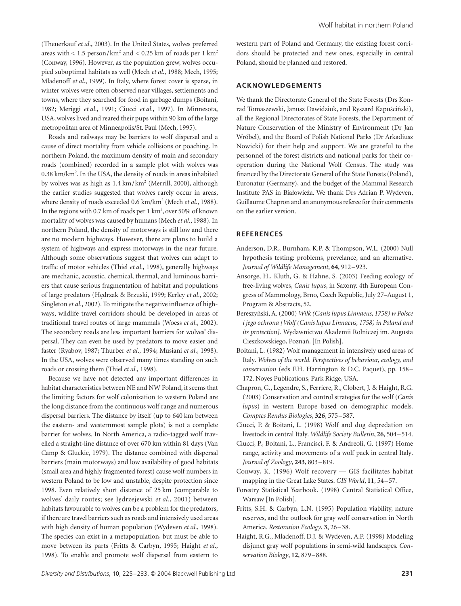(Theuerkauf *et al*., 2003). In the United States, wolves preferred areas with  $\lt$  1.5 person/km<sup>2</sup> and  $\lt$  0.25 km of roads per 1 km<sup>2</sup> (Conway, 1996). However, as the population grew, wolves occupied suboptimal habitats as well (Mech *et al*., 1988; Mech, 1995; Mladenoff *et al*., 1999). In Italy, where forest cover is sparse, in winter wolves were often observed near villages, settlements and towns, where they searched for food in garbage dumps (Boitani, 1982; Meriggi *et al*., 1991; Ciucci *et al*., 1997). In Minnesota, USA, wolves lived and reared their pups within 90 km of the large metropolitan area of Minneapolis/St. Paul (Mech, 1995).

Roads and railways may be barriers to wolf dispersal and a cause of direct mortality from vehicle collisions or poaching. In northern Poland, the maximum density of main and secondary roads (combined) recorded in a sample plot with wolves was 0.38 km/km<sup>2</sup>. In the USA, the density of roads in areas inhabited by wolves was as high as  $1.4 \text{ km/km}^2$  (Merrill, 2000), although the earlier studies suggested that wolves rarely occur in areas, where density of roads exceeded 0.6 km/km<sup>2</sup> (Mech et al., 1988). In the regions with 0.7 km of roads per  $1 \text{ km}^2$ , over 50% of known mortality of wolves was caused by humans (Mech *et al*., 1988). In northern Poland, the density of motorways is still low and there are no modern highways. However, there are plans to build a system of highways and express motorways in the near future. Although some observations suggest that wolves can adapt to traffic of motor vehicles (Thiel *et al*., 1998), generally highways are mechanic, acoustic, chemical, thermal, and luminous barriers that cause serious fragmentation of habitat and populations of large predators (H*e*drzak & Brzuski, 1999; Kerley *et al*., 2002; Singleton *et al*., 2002). To mitigate the negative influence of highways, wildlife travel corridors should be developed in areas of traditional travel routes of large mammals (Woess *et al*., 2002). The secondary roads are less important barriers for wolves' dispersal. They can even be used by predators to move easier and faster (Ryabov, 1987; Thurber *et al*., 1994; Musiani *et al*., 1998). In the USA, wolves were observed many times standing on such roads or crossing them (Thiel *et al.,* 1998).

Because we have not detected any important differences in habitat characteristics between NE and NW Poland, it seems that the limiting factors for wolf colonization to western Poland are the long distance from the continuous wolf range and numerous dispersal barriers. The distance by itself (up to 640 km between the eastern- and westernmost sample plots) is not a complete barrier for wolves. In North America, a radio-tagged wolf travelled a straight-line distance of over 670 km within 81 days (Van Camp & Gluckie, 1979). The distance combined with dispersal barriers (main motorways) and low availability of good habitats (small area and highly fragmented forest) cause wolf numbers in western Poland to be low and unstable, despite protection since 1998. Even relatively short distance of 25 km (comparable to wolves' daily routes; see J*e*drzejewski *et al*., 2001) between habitats favourable to wolves can be a problem for the predators, if there are travel barriers such as roads and intensively used areas with high density of human population (Wydeven *et al*., 1998). The species can exist in a metapopulation, but must be able to move between its parts (Fritts & Carbyn, 1995; Haight *et al*., 1998). To enable and promote wolf dispersal from eastern to

western part of Poland and Germany, the existing forest corridors should be protected and new ones, especially in central Poland, should be planned and restored.

#### **ACKNOWLEDGEMENTS**

We thank the Directorate General of the State Forests (Drs Konrad Tomaszewski, Janusz Dawidziuk, and Ryszard Kapu*s*ci*n*ski), all the Regional Directorates of State Forests, the Department of Nature Conservation of the Ministry of Environment (Dr Jan Wróbel), and the Board of Polish National Parks (Dr Arkadiusz Nowicki) for their help and support. We are grateful to the personnel of the forest districts and national parks for their cooperation during the National Wolf Census. The study was financed by the Directorate General of the State Forests (Poland), Euronatur (Germany), and the budget of the Mammal Research Institute PAS in Bia*l*owie*z*a. We thank Drs Adrian P. Wydeven, Guillaume Chapron and an anonymous referee for their comments on the earlier version.

#### **REFERENCES**

- Anderson, D.R., Burnham, K.P. & Thompson, W.L. (2000) Null hypothesis testing: problems, prevelance, and an alternative. *Journal of Wildlife Management*, **64**, 912–923.
- Ansorge, H., Kluth, G. & Hahne, S. (2003) Feeding ecology of free-living wolves, *Canis lupus*, in Saxony. 4th European Congress of Mammology, Brno, Czech Republic, July 27–August 1, Program & Abstracts, 52.
- Bereszy*n*ski, A. (2000) *Wilk (Canis lupus Linnaeus, 1758) w Polsce i jego ochrona [Wolf (Canis lupus Linnaeus, 1758) in Poland and its protection].* Wydawnictwo Akademii Rolniczej im. Augusta Cieszkowskiego, Pozna*n*. [In Polish].
- Boitani, L. (1982) Wolf management in intensively used areas of Italy. *Wolves of the world. Perspectives of behaviour, ecology, and conservation* (eds F.H. Harrington & D.C. Paquet), pp. 158– 172. Noyes Publications, Park Ridge, USA.
- Chapron, G., Legendre, S., Ferriere, R., Clobert, J. & Haight, R.G. (2003) Conservation and control strategies for the wolf (*Canis lupus*) in western Europe based on demographic models. *Comptes Rendus Biologies*, **326**, 575–587.
- Ciucci, P. & Boitani, L. (1998) Wolf and dog depredation on livestock in central Italy. *Wildlife Society Bulletin*, **26**, 504–514.
- Ciucci, P., Boitani, L., Francisci, F. & Andreoli, G. (1997) Home range, activity and movements of a wolf pack in central Italy. *Journal of Zoology*, **243**, 803–819.
- Conway, K. (1996) Wolf recovery GIS facilitates habitat mapping in the Great Lake States. *GIS World*, **11**, 54–57.
- Forestry Statistical Yearbook. (1998) Central Statistical Office, Warsaw [In Polish].
- Fritts, S.H. & Carbyn, L.N. (1995) Population viability, nature reserves, and the outlook for gray wolf conservation in North America. *Restoration Ecology*, **3**, 26–38.
- Haight, R.G., Mladenoff, D.J. & Wydeven, A.P. (1998) Modeling disjunct gray wolf populations in semi-wild landscapes. *Conservation Biology*, **12**, 879–888.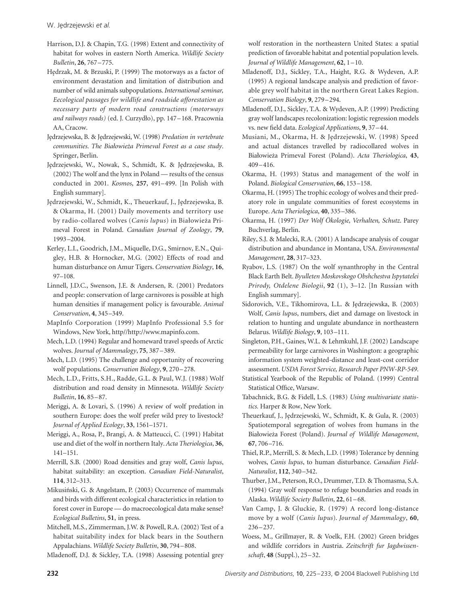- Harrison, D.J. & Chapin, T.G. (1998) Extent and connectivity of habitat for wolves in eastern North America. *Wildlife Society Bulletin*, **26**, 767–775.
- H*e*drzak, M. & Brzuski, P. (1999) The motorways as a factor of environment devastation and limitation of distribution and number of wild animals subpopulations. *International seminar, Eecological passages for wildlife and roadside afforestation as necessary parts of modern road constructions (motorways and railways roads)* (ed. J. Curzyd*l*o), pp. 147–168. Pracownia AA, Cracow.
- J*e*drzejewska, B. & J*e*drzejewski, W. (1998) *Predation in vertebrate communities*. *The Bia¬owieΩa Primeval Forest as a case study*. Springer, Berlin.
- J*e*drzejewski, W., Nowak, S., Schmidt, K. & J*e*drzejewska, B. (2002) The wolf and the lynx in Poland — results of the census conducted in 2001. *Kosmos*, **257**, 491–499. [In Polish with English summary].
- J*e*drzejewski, W., Schmidt, K., Theuerkauf, J., J*e*drzejewska, B. & Okarma, H. (2001) Daily movements and territory use by radio-collared wolves (*Canis lupus*) in Bia*l*owie*z*a Primeval Forest in Poland. *Canadian Journal of Zoology*, **79**, 1993–2004.
- Kerley, L.I., Goodrich, J.M., Miquelle, D.G., Smirnov, E.N., Quigley, H.B. & Hornocker, M.G. (2002) Effects of road and human disturbance on Amur Tigers. *Conservation Biology*, **16**, 97–108.
- Linnell, J.D.C., Swenson, J.E. & Andersen, R. (2001) Predators and people: conservation of large carnivores is possible at high human densities if management policy is favourable. *Animal Conservation*, **4**, 345–349.
- MapInfo Corporation (1999) MapInfo Professional 5.5 for Windows, New York, http/[/http://www.mapinfo.com.](http://www.mapinfo.com)
- Mech, L.D. (1994) Regular and homeward travel speeds of Arctic wolves. *Journal of Mammalogy*, **75**, 387–389.
- Mech, L.D. (1995) The challenge and opportunity of recovering wolf populations. *Conservation Biology*, **9**, 270–278.
- Mech, L.D., Fritts, S.H., Radde, G.L. & Paul, W.J. (1988) Wolf distribution and road density in Minnesota. *Wildlife Society Bulletin*, **16**, 85–87.
- Meriggi, A. & Lovari, S. (1996) A review of wolf predation in southern Europe: does the wolf prefer wild prey to livestock? *Journal of Applied Ecology*, **33**, 1561–1571.
- Meriggi, A., Rosa, P., Brangi, A. & Matteucci, C. (1991) Habitat use and diet of the wolf in northern Italy. *Acta Theriologica*, **36**, 141–151.
- Merrill, S.B. (2000) Road densities and gray wolf, *Canis lupus*, habitat suitability: an exception. *Canadian Field-Naturalist*, **114**, 312–313.
- Mikusi*n*ski, G. & Angelstam, P. (2003) Occurrence of mammals and birds with different ecological characteristics in relation to forest cover in Europe — do macroecological data make sense? *Ecological Bulletins*, **51**, in press.
- Mitchell, M.S., Zimmerman, J.W. & Powell, R.A. (2002) Test of a habitat suitability index for black bears in the Southern Appalachians. *Wildlife Society Bulletin*, **30**, 794–808.

Mladenoff, D.J. & Sickley, T.A. (1998) Assessing potential grey

wolf restoration in the northeastern United States: a spatial prediction of favorable habitat and potential population levels. *Journal of Wildlife Management*, **62**, 1–10.

- Mladenoff, D.J., Sickley, T.A., Haight, R.G. & Wydeven, A.P. (1995) A regional landscape analysis and prediction of favorable grey wolf habitat in the northern Great Lakes Region. *Conservation Biology*, **9**, 279–294.
- Mladenoff, D.J., Sickley, T.A. & Wydeven, A.P. (1999) Predicting gray wolf landscapes recolonization: logistic regression models vs. new field data. *Ecological Applications*, **9**, 37–44.
- Musiani, M., Okarma, H. & J*e*drzejewski, W. (1998) Speed and actual distances travelled by radiocollared wolves in Bia*l*owie*z*a Primeval Forest (Poland). *Acta Theriologica*, **43**, 409–416.
- Okarma, H. (1993) Status and management of the wolf in Poland. *Biological Conservation*, **66**, 153–158.
- Okarma, H. (1995) The trophic ecology of wolves and their predatory role in ungulate communities of forest ecosystems in Europe. *Acta Theriologica*, **40**, 335–386.
- Okarma, H. (1997) *Der Wolf Ökologie, Verhalten, Schutz*. Parey Buchverlag, Berlin.
- Riley, S.J. & Malecki, R.A. (2001) A landscape analysis of cougar distribution and abundance in Montana, USA. *Environmental Management*, **28**, 317–323.
- Ryabov, L.S. (1987) On the wolf synanthrophy in the Central Black Earth Belt. *Byulleten Moskovskogo Obshchestva Ispytatelei Prirody, Otdelene Biologii*, **92** (1), 3–12. [In Russian with English summary].
- Sidorovich, V.E., Tikhomirova, L.L. & J*e*drzejewska, B. (2003) Wolf, *Canis lupus*, numbers, diet and damage on livestock in relation to hunting and ungulate abundance in northeastern Belarus. *Wildlife Biology*, **9**, 103–111.
- Singleton, P.H., Gaines, W.L. & Lehmkuhl, J.F. (2002) Landscape permeability for large carnivores in Washington: a geographic information system weighted-distance and least-cost corridor assessment. *USDA Forest Service, Research Paper PNW-RP-549*.
- Statistical Yearbook of the Republic of Poland. (1999) Central Statistical Office, Warsaw.
- Tabachnick, B.G. & Fidell, L.S. (1983) *Using multivariate statistics.* Harper & Row, New York.
- Theuerkauf, J., J*e*drzejewski, W., Schmidt, K. & Gula, R. (2003) Spatiotemporal segregation of wolves from humans in the Bia*l*owie*z*a Forest (Poland). *Journal of Wildlife Management*, **67**, 706–716.
- Thiel, R.P., Merrill, S. & Mech, L.D. (1998) Tolerance by denning wolves, *Canis lupus*, to human disturbance. *Canadian Field-Naturalist*, **112**, 340–342.
- Thurber, J.M., Peterson, R.O., Drummer, T.D. & Thomasma, S.A. (1994) Gray wolf response to refuge boundaries and roads in Alaska. *Wildlife Society Bulletin*, **22**, 61–68.
- Van Camp, J. & Gluckie, R. (1979) A record long-distance move by a wolf (*Canis lupus*). *Journal of Mammalogy*, **60**, 236–237.
- Woess, M., Grillmayer, R. & Voelk, F.H. (2002) Green bridges and wildlife corridors in Austria. *Zeitschrift fur Jagdwissenschaft*, **48** (Suppl.), 25–32.